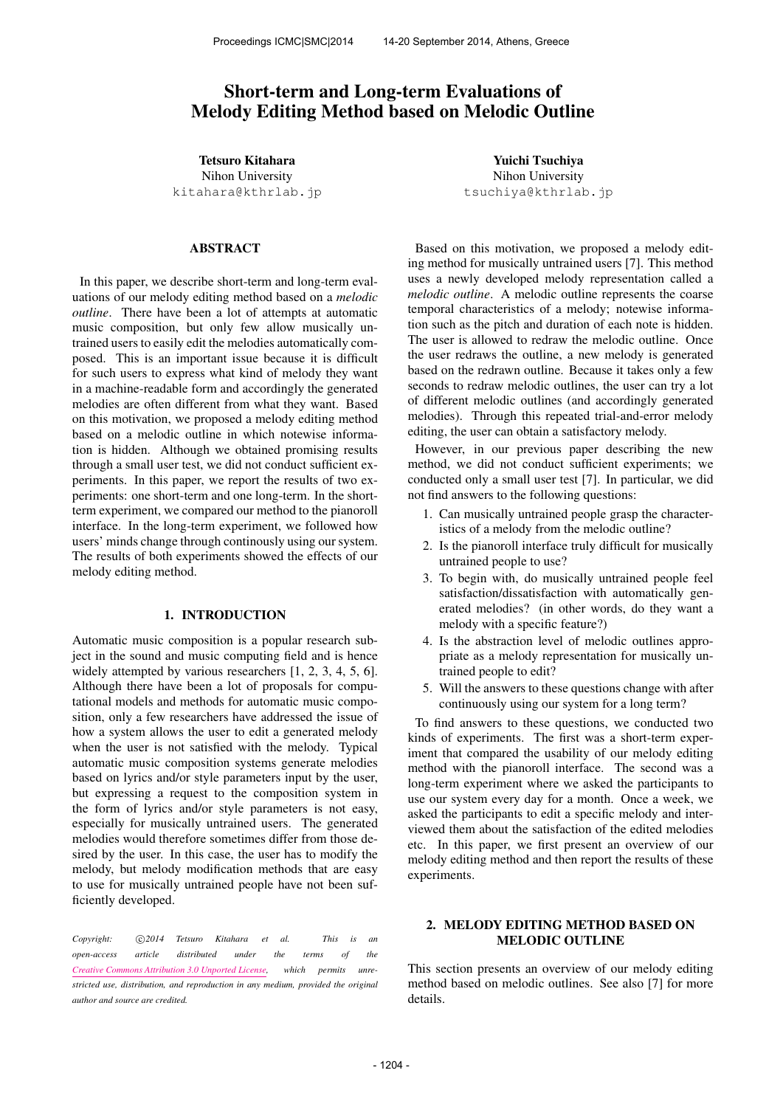# Short-term and Long-term Evaluations of Melody Editing Method based on Melodic Outline

Tetsuro Kitahara Nihon University

kitahara@kthrlab.jp

### ABSTRACT

In this paper, we describe short-term and long-term evaluations of our melody editing method based on a *melodic outline*. There have been a lot of attempts at automatic music composition, but only few allow musically untrained users to easily edit the melodies automatically composed. This is an important issue because it is difficult for such users to express what kind of melody they want in a machine-readable form and accordingly the generated melodies are often different from what they want. Based on this motivation, we proposed a melody editing method based on a melodic outline in which notewise information is hidden. Although we obtained promising results through a small user test, we did not conduct sufficient experiments. In this paper, we report the results of two experiments: one short-term and one long-term. In the shortterm experiment, we compared our method to the pianoroll interface. In the long-term experiment, we followed how users' minds change through continously using our system. The results of both experiments showed the effects of our melody editing method.

# 1. INTRODUCTION

Automatic music composition is a popular research subject in the sound and music computing field and is hence widely attempted by various researchers [1, 2, 3, 4, 5, 6]. Although there have been a lot of proposals for computational models and methods for automatic music composition, only a few researchers have addressed the issue of how a system allows the user to edit a generated melody when the user is not satisfied with the melody. Typical automatic music composition systems generate melodies based on lyrics and/or style parameters input by the user, but expressing a request to the composition system in the form of lyrics and/or style parameters is not easy, especially for musically untrained users. The generated melodies would therefore sometimes differ from those desired by the user. In this case, the user has to modify the melody, but melody modification methods that are easy to use for musically untrained people have not been sufficiently developed.

*Copyright:*  $\bigcirc$ 2014 Tetsuro Kitahara et al. This is an *open-access article distributed under the terms of the Creative Commons Attribution 3.0 Unported License, which permits unrestricted use, distribution, and reproduction in any medium, provided the original author and source are credited.*

Yuichi Tsuchiya Nihon University tsuchiya@kthrlab.jp

Based on this motivation, we proposed a melody editing method for musically untrained users [7]. This method uses a newly developed melody representation called a *melodic outline*. A melodic outline represents the coarse temporal characteristics of a melody; notewise information such as the pitch and duration of each note is hidden. The user is allowed to redraw the melodic outline. Once the user redraws the outline, a new melody is generated based on the redrawn outline. Because it takes only a few seconds to redraw melodic outlines, the user can try a lot of different melodic outlines (and accordingly generated melodies). Through this repeated trial-and-error melody editing, the user can obtain a satisfactory melody.

However, in our previous paper describing the new method, we did not conduct sufficient experiments; we conducted only a small user test [7]. In particular, we did not find answers to the following questions:

- 1. Can musically untrained people grasp the characteristics of a melody from the melodic outline?
- 2. Is the pianoroll interface truly difficult for musically untrained people to use?
- 3. To begin with, do musically untrained people feel satisfaction/dissatisfaction with automatically generated melodies? (in other words, do they want a melody with a specific feature?)
- 4. Is the abstraction level of melodic outlines appropriate as a melody representation for musically untrained people to edit?
- 5. Will the answers to these questions change with after continuously using our system for a long term?

To find answers to these questions, we conducted two kinds of experiments. The first was a short-term experiment that compared the usability of our melody editing method with the pianoroll interface. The second was a long-term experiment where we asked the participants to use our system every day for a month. Once a week, we asked the participants to edit a specific melody and interviewed them about the satisfaction of the edited melodies etc. In this paper, we first present an overview of our melody editing method and then report the results of these experiments.

### 2. MELODY EDITING METHOD BASED ON MELODIC OUTLINE

This section presents an overview of our melody editing method based on melodic outlines. See also [7] for more details.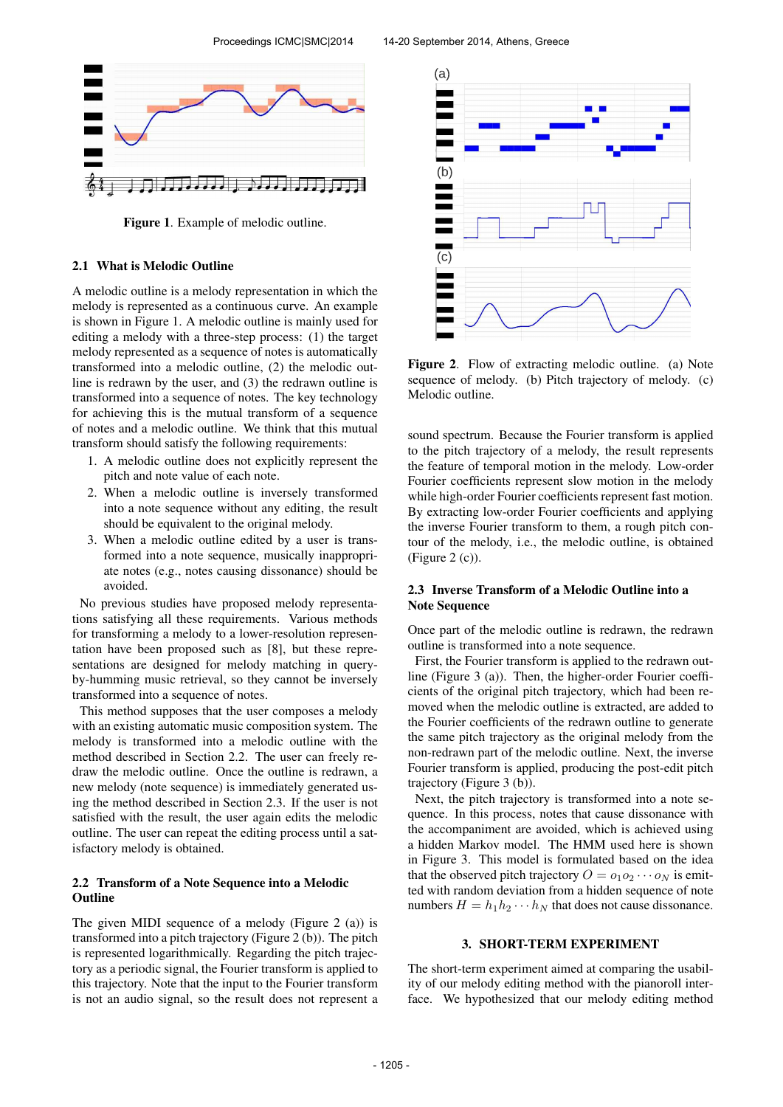

Figure 1. Example of melodic outline.

#### 2.1 What is Melodic Outline

A melodic outline is a melody representation in which the melody is represented as a continuous curve. An example is shown in Figure 1. A melodic outline is mainly used for editing a melody with a three-step process: (1) the target melody represented as a sequence of notes is automatically transformed into a melodic outline, (2) the melodic outline is redrawn by the user, and (3) the redrawn outline is transformed into a sequence of notes. The key technology for achieving this is the mutual transform of a sequence of notes and a melodic outline. We think that this mutual transform should satisfy the following requirements:

- 1. A melodic outline does not explicitly represent the pitch and note value of each note.
- 2. When a melodic outline is inversely transformed into a note sequence without any editing, the result should be equivalent to the original melody.
- 3. When a melodic outline edited by a user is transformed into a note sequence, musically inappropriate notes (e.g., notes causing dissonance) should be avoided.

No previous studies have proposed melody representations satisfying all these requirements. Various methods for transforming a melody to a lower-resolution representation have been proposed such as [8], but these representations are designed for melody matching in queryby-humming music retrieval, so they cannot be inversely transformed into a sequence of notes.

This method supposes that the user composes a melody with an existing automatic music composition system. The melody is transformed into a melodic outline with the method described in Section 2.2. The user can freely redraw the melodic outline. Once the outline is redrawn, a new melody (note sequence) is immediately generated using the method described in Section 2.3. If the user is not satisfied with the result, the user again edits the melodic outline. The user can repeat the editing process until a satisfactory melody is obtained.

### 2.2 Transform of a Note Sequence into a Melodic **Outline**

The given MIDI sequence of a melody (Figure 2 (a)) is transformed into a pitch trajectory (Figure 2 (b)). The pitch is represented logarithmically. Regarding the pitch trajectory as a periodic signal, the Fourier transform is applied to this trajectory. Note that the input to the Fourier transform is not an audio signal, so the result does not represent a



Figure 2. Flow of extracting melodic outline. (a) Note sequence of melody. (b) Pitch trajectory of melody. (c) Melodic outline.

sound spectrum. Because the Fourier transform is applied to the pitch trajectory of a melody, the result represents the feature of temporal motion in the melody. Low-order Fourier coefficients represent slow motion in the melody while high-order Fourier coefficients represent fast motion. By extracting low-order Fourier coefficients and applying the inverse Fourier transform to them, a rough pitch contour of the melody, i.e., the melodic outline, is obtained (Figure 2 (c)).

### 2.3 Inverse Transform of a Melodic Outline into a Note Sequence

Once part of the melodic outline is redrawn, the redrawn outline is transformed into a note sequence.

First, the Fourier transform is applied to the redrawn outline (Figure 3 (a)). Then, the higher-order Fourier coefficients of the original pitch trajectory, which had been removed when the melodic outline is extracted, are added to the Fourier coefficients of the redrawn outline to generate the same pitch trajectory as the original melody from the non-redrawn part of the melodic outline. Next, the inverse Fourier transform is applied, producing the post-edit pitch trajectory (Figure 3 (b)).

Next, the pitch trajectory is transformed into a note sequence. In this process, notes that cause dissonance with the accompaniment are avoided, which is achieved using a hidden Markov model. The HMM used here is shown in Figure 3. This model is formulated based on the idea that the observed pitch trajectory  $O = o_1 o_2 \cdots o_N$  is emitted with random deviation from a hidden sequence of note numbers  $H = h_1 h_2 \cdots h_N$  that does not cause dissonance.

#### 3. SHORT-TERM EXPERIMENT

The short-term experiment aimed at comparing the usability of our melody editing method with the pianoroll interface. We hypothesized that our melody editing method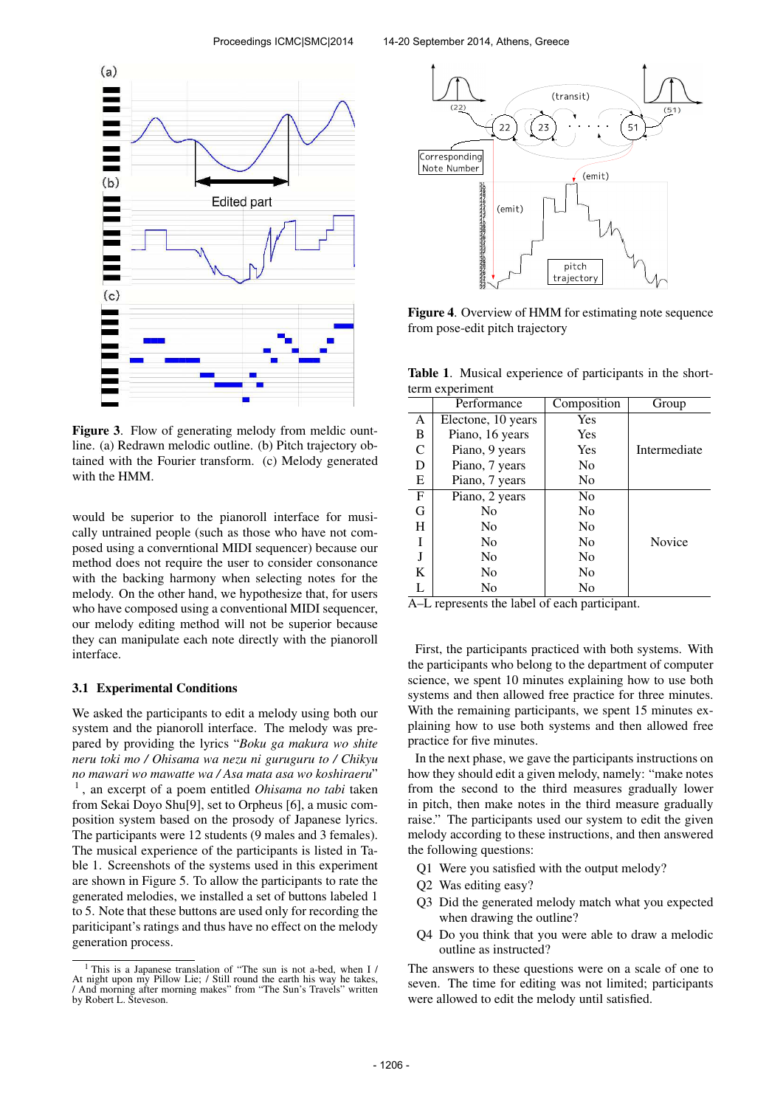

Figure 3. Flow of generating melody from meldic ountline. (a) Redrawn melodic outline. (b) Pitch trajectory obtained with the Fourier transform. (c) Melody generated with the HMM.

would be superior to the pianoroll interface for musically untrained people (such as those who have not composed using a converntional MIDI sequencer) because our method does not require the user to consider consonance with the backing harmony when selecting notes for the melody. On the other hand, we hypothesize that, for users who have composed using a conventional MIDI sequencer, our melody editing method will not be superior because they can manipulate each note directly with the pianoroll interface.

#### 3.1 Experimental Conditions

We asked the participants to edit a melody using both our system and the pianoroll interface. The melody was prepared by providing the lyrics "*Boku ga makura wo shite neru toki mo / Ohisama wa nezu ni guruguru to / Chikyu no mawari wo mawatte wa / Asa mata asa wo koshiraeru*" 1 , an excerpt of a poem entitled *Ohisama no tabi* taken from Sekai Doyo Shu[9], set to Orpheus [6], a music composition system based on the prosody of Japanese lyrics. The participants were 12 students (9 males and 3 females). The musical experience of the participants is listed in Table 1. Screenshots of the systems used in this experiment are shown in Figure 5. To allow the participants to rate the generated melodies, we installed a set of buttons labeled 1 to 5. Note that these buttons are used only for recording the pariticipant's ratings and thus have no effect on the melody generation process.



Figure 4. Overview of HMM for estimating note sequence from pose-edit pitch trajectory

Table 1. Musical experience of participants in the shortterm experiment

|              | Performance        | Composition    | Group        |
|--------------|--------------------|----------------|--------------|
| A            | Electone, 10 years | Yes            |              |
| B            | Piano, 16 years    | Yes            |              |
| C            | Piano, 9 years     | Yes            | Intermediate |
| D            | Piano, 7 years     | N <sub>0</sub> |              |
| E            | Piano, 7 years     | N <sub>0</sub> |              |
| $\mathbf{F}$ | Piano, 2 years     | No             |              |
| G            | N <sub>0</sub>     | No             |              |
| H            | N <sub>0</sub>     | N <sub>0</sub> |              |
| I            | N <sub>0</sub>     | N <sub>0</sub> | Novice       |
|              | N <sub>0</sub>     | N <sub>0</sub> |              |
| K            | N <sub>0</sub>     | N <sub>0</sub> |              |
| L            | No                 | No             |              |

A–L represents the label of each participant.

First, the participants practiced with both systems. With the participants who belong to the department of computer science, we spent 10 minutes explaining how to use both systems and then allowed free practice for three minutes. With the remaining participants, we spent 15 minutes explaining how to use both systems and then allowed free practice for five minutes.

In the next phase, we gave the participants instructions on how they should edit a given melody, namely: "make notes from the second to the third measures gradually lower in pitch, then make notes in the third measure gradually raise." The participants used our system to edit the given melody according to these instructions, and then answered the following questions:

- Q1 Were you satisfied with the output melody?
- Q2 Was editing easy?
- Q3 Did the generated melody match what you expected when drawing the outline?
- Q4 Do you think that you were able to draw a melodic outline as instructed?

The answers to these questions were on a scale of one to seven. The time for editing was not limited; participants were allowed to edit the melody until satisfied.

<sup>1</sup> This is a Japanese translation of "The sun is not a-bed, when I / At night upon my Pillow Lie; / Still round the earth his way he takes, / And morning after morning makes" from "The Sun's Travels" written by Robert L. Steveson.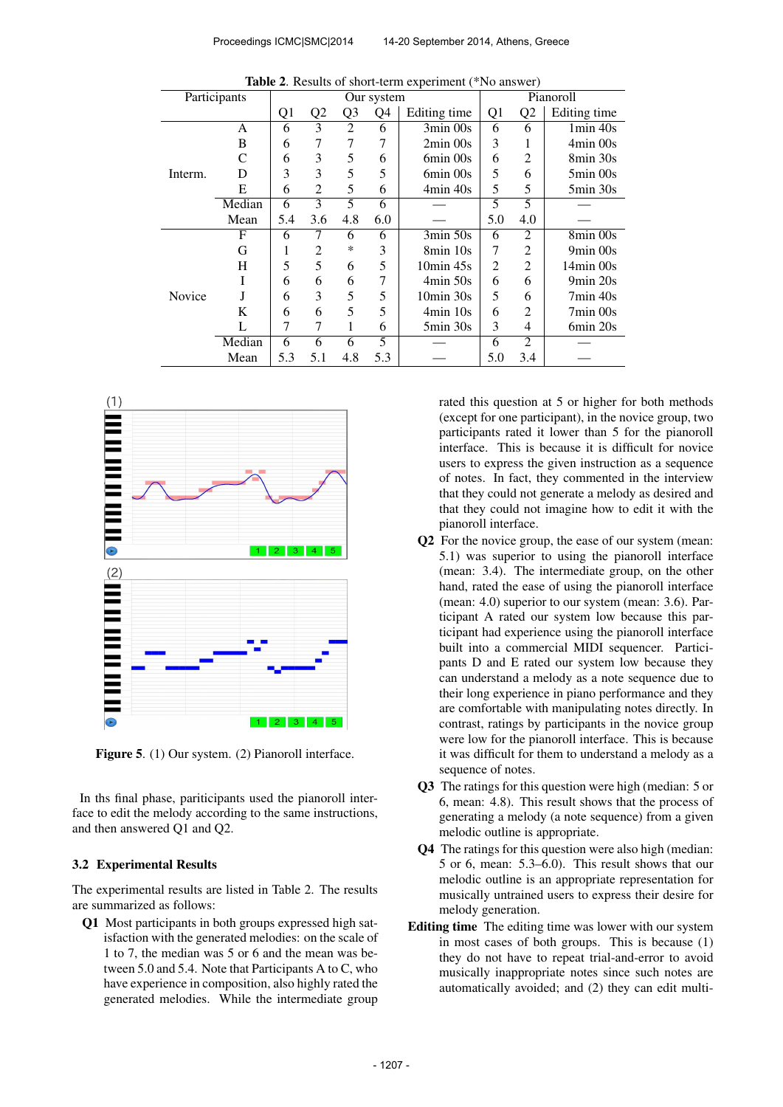| <b>Table 2.</b> Results of short-term experiment ( $\overline{1}$ NO answer) |        |                |                |                |     |                          |           |                |                          |
|------------------------------------------------------------------------------|--------|----------------|----------------|----------------|-----|--------------------------|-----------|----------------|--------------------------|
| Participants                                                                 |        | Our system     |                |                |     |                          | Pianoroll |                |                          |
|                                                                              |        | Q <sub>1</sub> | Q <sub>2</sub> | Q <sub>3</sub> | Q4  | Editing time             | Q1        | Q2             | Editing time             |
| Interm.                                                                      | A      | 6              | 3              | $\overline{c}$ | 6   | $3\text{min}$ 00s        | 6         | 6              | $1min$ 40s               |
|                                                                              | B      | 6              | 7              | 7              | 7   | $2min$ 00s               | 3         |                | $4min$ 00s               |
|                                                                              | C      | 6              | 3              | 5              | 6   | 6min 00s                 | 6         | 2              | 8min 30s                 |
|                                                                              | D      | 3              | 3              | 5              | 5   | 6min 00s                 | 5         | 6              | $5\text{min}$ 00s        |
|                                                                              | E      | 6              | $\overline{c}$ | 5              | 6   | 4min 40s                 | 5         | 5              | $5\text{min} 30\text{s}$ |
|                                                                              | Median | 6              | 3              | 5              | 6   |                          | 5         | 5              |                          |
|                                                                              | Mean   | 5.4            | 3.6            | 4.8            | 6.0 |                          | 5.0       | 4.0            |                          |
|                                                                              | F      | 6              | 7              | 6              | 6   | 3min 50s                 | 6         | 2              | 8min 00s                 |
| Novice                                                                       | G      | 1              | 2              | $\ast$         | 3   | 8min 10s                 | 7         | $\overline{c}$ | 9min 00s                 |
|                                                                              | H      | 5              | 5              | 6              | 5   | $10\text{min}$ 45s       | 2         | 2              | $14min$ 00s              |
|                                                                              |        | 6              | 6              | 6              | 7   | 4min 50s                 | 6         | 6              | 9min 20s                 |
|                                                                              | J      | 6              | 3              | 5              | 5   | $10\text{min}$ 30s       | 5         | 6              | $7min$ 40s               |
|                                                                              | K      | 6              | 6              | 5              | 5   | $4min$ 10s               | 6         | 2              | 7min 00s                 |
|                                                                              | L      | 7              | 7              | 1              | 6   | $5\text{min} 30\text{s}$ | 3         | 4              | 6min 20s                 |
|                                                                              | Median | 6              | 6              | 6              | 5   |                          | 6         | $\mathfrak{D}$ |                          |
|                                                                              | Mean   | 5.3            | 5.1            | 4.8            | 5.3 |                          | 5.0       | 3.4            |                          |

Table 2. Results of short-term experiment (\*No answer)



Figure 5. (1) Our system. (2) Pianoroll interface.

In ths final phase, pariticipants used the pianoroll interface to edit the melody according to the same instructions, and then answered Q1 and Q2.

#### 3.2 Experimental Results

The experimental results are listed in Table 2. The results are summarized as follows:

Q1 Most participants in both groups expressed high satisfaction with the generated melodies: on the scale of 1 to 7, the median was 5 or 6 and the mean was between 5.0 and 5.4. Note that Participants A to C, who have experience in composition, also highly rated the generated melodies. While the intermediate group

rated this question at 5 or higher for both methods (except for one participant), in the novice group, two participants rated it lower than 5 for the pianoroll interface. This is because it is difficult for novice users to express the given instruction as a sequence of notes. In fact, they commented in the interview that they could not generate a melody as desired and that they could not imagine how to edit it with the pianoroll interface.

- Q2 For the novice group, the ease of our system (mean: 5.1) was superior to using the pianoroll interface (mean: 3.4). The intermediate group, on the other hand, rated the ease of using the pianoroll interface (mean: 4.0) superior to our system (mean: 3.6). Participant A rated our system low because this participant had experience using the pianoroll interface built into a commercial MIDI sequencer. Participants D and E rated our system low because they can understand a melody as a note sequence due to their long experience in piano performance and they are comfortable with manipulating notes directly. In contrast, ratings by participants in the novice group were low for the pianoroll interface. This is because it was difficult for them to understand a melody as a sequence of notes.
- Q3 The ratings for this question were high (median: 5 or 6, mean: 4.8). This result shows that the process of generating a melody (a note sequence) from a given melodic outline is appropriate.
- Q4 The ratings for this question were also high (median: 5 or 6, mean: 5.3–6.0). This result shows that our melodic outline is an appropriate representation for musically untrained users to express their desire for melody generation.
- Editing time The editing time was lower with our system in most cases of both groups. This is because (1) they do not have to repeat trial-and-error to avoid musically inappropriate notes since such notes are automatically avoided; and (2) they can edit multi-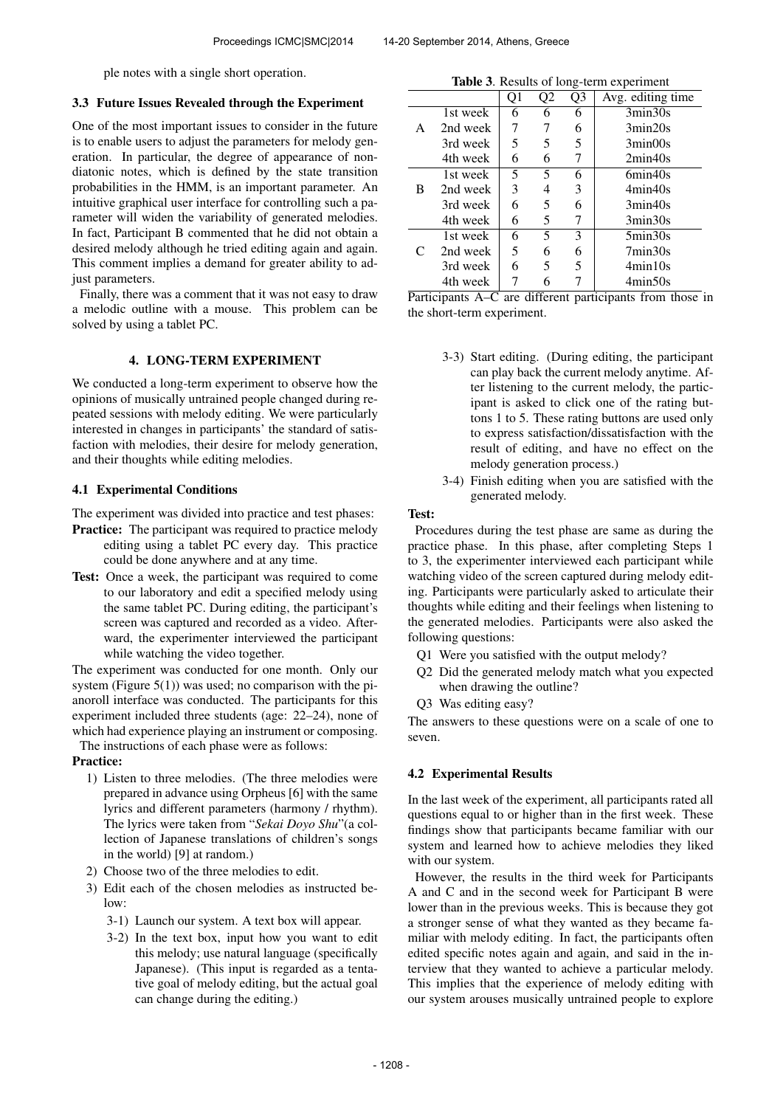ple notes with a single short operation.

### 3.3 Future Issues Revealed through the Experiment

One of the most important issues to consider in the future is to enable users to adjust the parameters for melody generation. In particular, the degree of appearance of nondiatonic notes, which is defined by the state transition probabilities in the HMM, is an important parameter. An intuitive graphical user interface for controlling such a parameter will widen the variability of generated melodies. In fact, Participant B commented that he did not obtain a desired melody although he tried editing again and again. This comment implies a demand for greater ability to adjust parameters.

Finally, there was a comment that it was not easy to draw a melodic outline with a mouse. This problem can be solved by using a tablet PC.

### 4. LONG-TERM EXPERIMENT

We conducted a long-term experiment to observe how the opinions of musically untrained people changed during repeated sessions with melody editing. We were particularly interested in changes in participants' the standard of satisfaction with melodies, their desire for melody generation, and their thoughts while editing melodies.

### 4.1 Experimental Conditions

The experiment was divided into practice and test phases:

- Practice: The participant was required to practice melody editing using a tablet PC every day. This practice could be done anywhere and at any time.
- Test: Once a week, the participant was required to come to our laboratory and edit a specified melody using the same tablet PC. During editing, the participant's screen was captured and recorded as a video. Afterward, the experimenter interviewed the participant while watching the video together.

The experiment was conducted for one month. Only our system (Figure  $5(1)$ ) was used; no comparison with the pianoroll interface was conducted. The participants for this experiment included three students (age: 22–24), none of which had experience playing an instrument or composing.

The instructions of each phase were as follows:

### Practice:

- 1) Listen to three melodies. (The three melodies were prepared in advance using Orpheus [6] with the same lyrics and different parameters (harmony / rhythm). The lyrics were taken from "*Sekai Doyo Shu*"(a collection of Japanese translations of children's songs in the world) [9] at random.)
- 2) Choose two of the three melodies to edit.
- 3) Edit each of the chosen melodies as instructed below:
	- 3-1) Launch our system. A text box will appear.
	- 3-2) In the text box, input how you want to edit this melody; use natural language (specifically Japanese). (This input is regarded as a tentative goal of melody editing, but the actual goal can change during the editing.)

| <b>Table 3.</b> Results of long-term experiment |          |    |    |    |                                                     |  |  |
|-------------------------------------------------|----------|----|----|----|-----------------------------------------------------|--|--|
|                                                 |          | Q1 | Q2 | Q3 | Avg. editing time                                   |  |  |
|                                                 | 1st week | 6  | 6  | 6  | 3min30s                                             |  |  |
| A                                               | 2nd week |    |    | 6  | 3min20s                                             |  |  |
|                                                 | 3rd week | 5  | 5  | 5  | 3min00s                                             |  |  |
|                                                 | 4th week | 6  | 6  |    | 2min40s                                             |  |  |
|                                                 | 1st week | 5  | 5  | 6  | 6min40s                                             |  |  |
| B                                               | 2nd week | 3  | 4  | 3  | 4min40s                                             |  |  |
|                                                 | 3rd week | 6  | 5  | 6  | 3min40s                                             |  |  |
|                                                 | 4th week | 6  | 5  | 7  | 3min30s                                             |  |  |
|                                                 | 1st week | 6  | 5  | 3  | $5\text{min}30\text{s}$                             |  |  |
| C                                               | 2nd week | 5  | 6  | 6  | $7\text{min}30\text{s}$                             |  |  |
|                                                 | 3rd week | 6  | 5  | 5  | 4min10s                                             |  |  |
|                                                 | 4th week |    | 6  |    | 4min50s<br>and 4:00 months which could focus the se |  |  |

Participants A–C are different participants from those in the short-term experiment.

- 3-3) Start editing. (During editing, the participant can play back the current melody anytime. After listening to the current melody, the participant is asked to click one of the rating buttons 1 to 5. These rating buttons are used only to express satisfaction/dissatisfaction with the result of editing, and have no effect on the melody generation process.)
- 3-4) Finish editing when you are satisfied with the generated melody.

### Test:

Procedures during the test phase are same as during the practice phase. In this phase, after completing Steps 1 to 3, the experimenter interviewed each participant while watching video of the screen captured during melody editing. Participants were particularly asked to articulate their thoughts while editing and their feelings when listening to the generated melodies. Participants were also asked the following questions:

- Q1 Were you satisfied with the output melody?
- Q2 Did the generated melody match what you expected when drawing the outline?
- Q3 Was editing easy?

The answers to these questions were on a scale of one to seven.

### 4.2 Experimental Results

In the last week of the experiment, all participants rated all questions equal to or higher than in the first week. These findings show that participants became familiar with our system and learned how to achieve melodies they liked with our system.

However, the results in the third week for Participants A and C and in the second week for Participant B were lower than in the previous weeks. This is because they got a stronger sense of what they wanted as they became familiar with melody editing. In fact, the participants often edited specific notes again and again, and said in the interview that they wanted to achieve a particular melody. This implies that the experience of melody editing with our system arouses musically untrained people to explore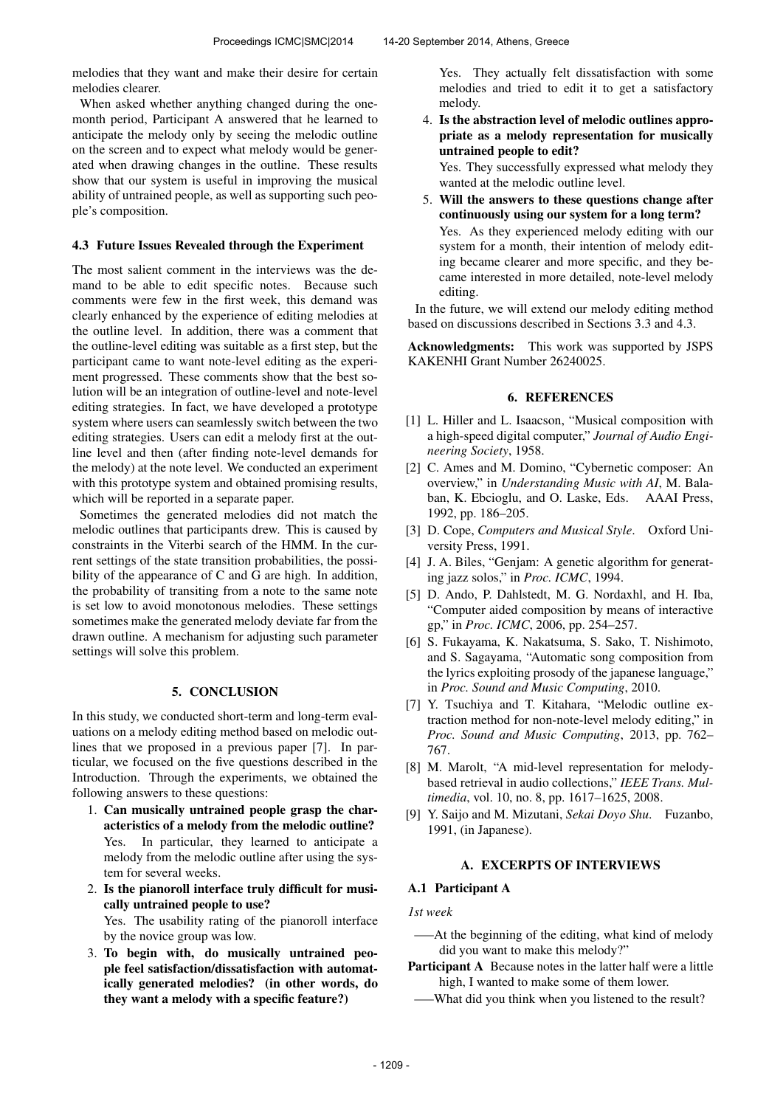melodies that they want and make their desire for certain melodies clearer.

When asked whether anything changed during the onemonth period, Participant A answered that he learned to anticipate the melody only by seeing the melodic outline on the screen and to expect what melody would be generated when drawing changes in the outline. These results show that our system is useful in improving the musical ability of untrained people, as well as supporting such people's composition.

#### 4.3 Future Issues Revealed through the Experiment

The most salient comment in the interviews was the demand to be able to edit specific notes. Because such comments were few in the first week, this demand was clearly enhanced by the experience of editing melodies at the outline level. In addition, there was a comment that the outline-level editing was suitable as a first step, but the participant came to want note-level editing as the experiment progressed. These comments show that the best solution will be an integration of outline-level and note-level editing strategies. In fact, we have developed a prototype system where users can seamlessly switch between the two editing strategies. Users can edit a melody first at the outline level and then (after finding note-level demands for the melody) at the note level. We conducted an experiment with this prototype system and obtained promising results, which will be reported in a separate paper.

Sometimes the generated melodies did not match the melodic outlines that participants drew. This is caused by constraints in the Viterbi search of the HMM. In the current settings of the state transition probabilities, the possibility of the appearance of C and G are high. In addition, the probability of transiting from a note to the same note is set low to avoid monotonous melodies. These settings sometimes make the generated melody deviate far from the drawn outline. A mechanism for adjusting such parameter settings will solve this problem.

### 5. CONCLUSION

In this study, we conducted short-term and long-term evaluations on a melody editing method based on melodic outlines that we proposed in a previous paper [7]. In particular, we focused on the five questions described in the Introduction. Through the experiments, we obtained the following answers to these questions:

- 1. Can musically untrained people grasp the characteristics of a melody from the melodic outline? Yes. In particular, they learned to anticipate a melody from the melodic outline after using the system for several weeks.
- 2. Is the pianoroll interface truly difficult for musically untrained people to use? Yes. The usability rating of the pianoroll interface by the novice group was low.
- 3. To begin with, do musically untrained people feel satisfaction/dissatisfaction with automatically generated melodies? (in other words, do they want a melody with a specific feature?)

Yes. They actually felt dissatisfaction with some melodies and tried to edit it to get a satisfactory melody.

4. Is the abstraction level of melodic outlines appropriate as a melody representation for musically untrained people to edit?

Yes. They successfully expressed what melody they wanted at the melodic outline level.

5. Will the answers to these questions change after continuously using our system for a long term? Yes. As they experienced melody editing with our system for a month, their intention of melody editing became clearer and more specific, and they became interested in more detailed, note-level melody editing.

In the future, we will extend our melody editing method based on discussions described in Sections 3.3 and 4.3.

Acknowledgments: This work was supported by JSPS KAKENHI Grant Number 26240025.

#### 6. REFERENCES

- [1] L. Hiller and L. Isaacson, "Musical composition with a high-speed digital computer," *Journal of Audio Engineering Society*, 1958.
- [2] C. Ames and M. Domino, "Cybernetic composer: An overview," in *Understanding Music with AI*, M. Balaban, K. Ebcioglu, and O. Laske, Eds. AAAI Press, 1992, pp. 186–205.
- [3] D. Cope, *Computers and Musical Style*. Oxford University Press, 1991.
- [4] J. A. Biles, "Genjam: A genetic algorithm for generating jazz solos," in *Proc. ICMC*, 1994.
- [5] D. Ando, P. Dahlstedt, M. G. Nordaxhl, and H. Iba, "Computer aided composition by means of interactive gp," in *Proc. ICMC*, 2006, pp. 254–257.
- [6] S. Fukayama, K. Nakatsuma, S. Sako, T. Nishimoto, and S. Sagayama, "Automatic song composition from the lyrics exploiting prosody of the japanese language," in *Proc. Sound and Music Computing*, 2010.
- [7] Y. Tsuchiya and T. Kitahara, "Melodic outline extraction method for non-note-level melody editing," in *Proc. Sound and Music Computing*, 2013, pp. 762– 767.
- [8] M. Marolt, "A mid-level representation for melodybased retrieval in audio collections," *IEEE Trans. Multimedia*, vol. 10, no. 8, pp. 1617–1625, 2008.
- [9] Y. Saijo and M. Mizutani, *Sekai Doyo Shu*. Fuzanbo, 1991, (in Japanese).

### A. EXCERPTS OF INTERVIEWS

### A.1 Participant A

*1st week*

- —–At the beginning of the editing, what kind of melody did you want to make this melody?"
- Participant A Because notes in the latter half were a little high, I wanted to make some of them lower.
- What did you think when you listened to the result?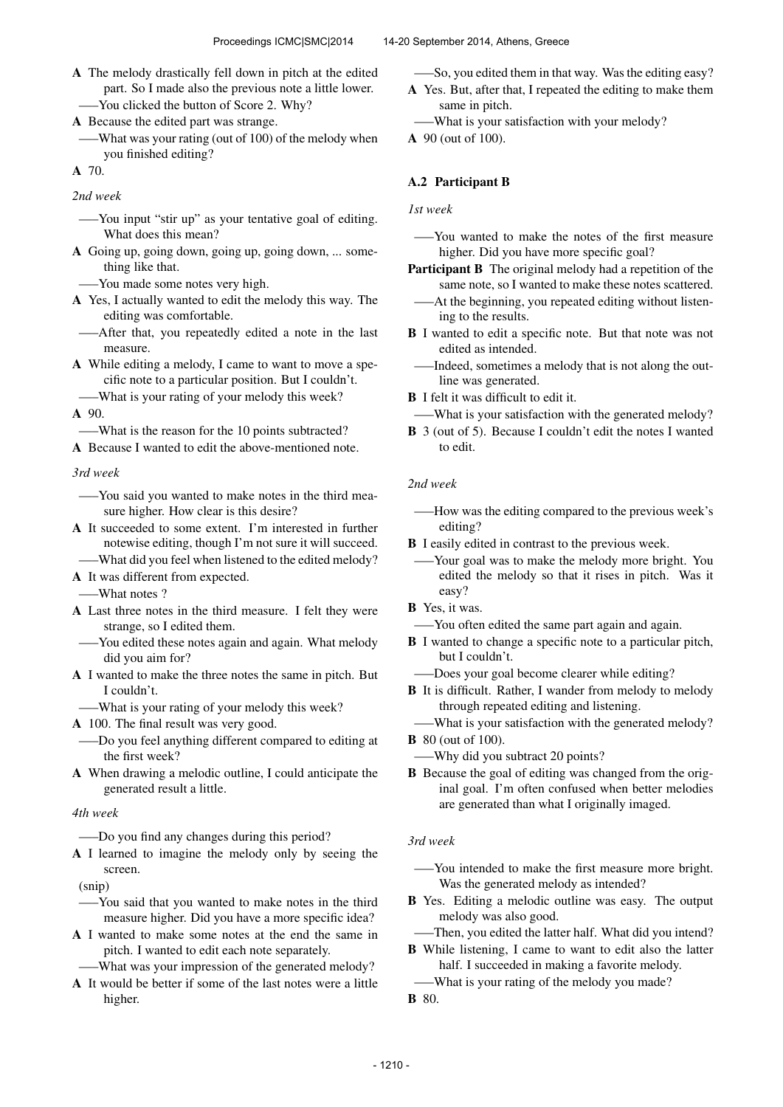A The melody drastically fell down in pitch at the edited part. So I made also the previous note a little lower. —–You clicked the button of Score 2. Why?

A Because the edited part was strange.

—–What was your rating (out of 100) of the melody when you finished editing?

A 70.

*2nd week*

- —–You input "stir up" as your tentative goal of editing. What does this mean?
- A Going up, going down, going up, going down, ... something like that.
	- —–You made some notes very high.
- A Yes, I actually wanted to edit the melody this way. The editing was comfortable.
- —–After that, you repeatedly edited a note in the last measure.
- A While editing a melody, I came to want to move a specific note to a particular position. But I couldn't.
- —–What is your rating of your melody this week? A 90.

—–What is the reason for the 10 points subtracted?

A Because I wanted to edit the above-mentioned note.

*3rd week*

- —–You said you wanted to make notes in the third measure higher. How clear is this desire?
- A It succeeded to some extent. I'm interested in further notewise editing, though I'm not sure it will succeed.
	- —–What did you feel when listened to the edited melody?
- A It was different from expected.

—–What notes ?

- A Last three notes in the third measure. I felt they were strange, so I edited them.
- —–You edited these notes again and again. What melody did you aim for?
- A I wanted to make the three notes the same in pitch. But I couldn't.
- —–What is your rating of your melody this week?
- A 100. The final result was very good.
- —–Do you feel anything different compared to editing at the first week?
- A When drawing a melodic outline, I could anticipate the generated result a little.

### *4th week*

—–Do you find any changes during this period?

A I learned to imagine the melody only by seeing the screen.

(snip)

- —–You said that you wanted to make notes in the third measure higher. Did you have a more specific idea?
- A I wanted to make some notes at the end the same in pitch. I wanted to edit each note separately.
	- —–What was your impression of the generated melody?
- A It would be better if some of the last notes were a little higher.

—–So, you edited them in that way. Was the editing easy?

- A Yes. But, after that, I repeated the editing to make them same in pitch.
- —–What is your satisfaction with your melody?
- A 90 (out of 100).

# A.2 Participant B

*1st week*

- —–You wanted to make the notes of the first measure higher. Did you have more specific goal?
- Participant B The original melody had a repetition of the same note, so I wanted to make these notes scattered.
- —–At the beginning, you repeated editing without listening to the results.
- B I wanted to edit a specific note. But that note was not edited as intended.
- —–Indeed, sometimes a melody that is not along the outline was generated.

**B** I felt it was difficult to edit it.

—–What is your satisfaction with the generated melody?

B 3 (out of 5). Because I couldn't edit the notes I wanted to edit.

### *2nd week*

- —–How was the editing compared to the previous week's editing?
- B I easily edited in contrast to the previous week.
- —–Your goal was to make the melody more bright. You edited the melody so that it rises in pitch. Was it easy?
- B Yes, it was.
- —–You often edited the same part again and again.
- **B** I wanted to change a specific note to a particular pitch, but I couldn't.
- —–Does your goal become clearer while editing?
- B It is difficult. Rather, I wander from melody to melody through repeated editing and listening.
- —–What is your satisfaction with the generated melody?

- —–Why did you subtract 20 points?
- B Because the goal of editing was changed from the original goal. I'm often confused when better melodies are generated than what I originally imaged.

### *3rd week*

- —–You intended to make the first measure more bright. Was the generated melody as intended?
- B Yes. Editing a melodic outline was easy. The output melody was also good.
- —–Then, you edited the latter half. What did you intend?

B While listening, I came to want to edit also the latter half. I succeeded in making a favorite melody.

—–What is your rating of the melody you made?

**B** 80 (out of 100).